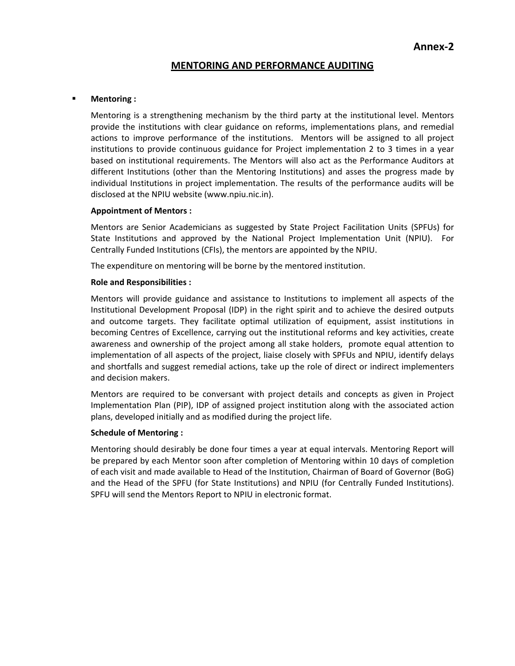# **MENTORING AND PERFORMANCE AUDITING**

### **Mentoring :**

Mentoring is a strengthening mechanism by the third party at the institutional level. Mentors provide the institutions with clear guidance on reforms, implementations plans, and remedial actions to improve performance of the institutions.Mentors will be assigned to all project institutions to provide continuous guidance for Project implementation 2 to 3 times in a year based on institutional requirements. The Mentors will also act as the Performance Auditors at different Institutions (other than the Mentoring Institutions) and asses the progress made by individual Institutions in project implementation. The results of the performance audits will be disclosed at the NPIU website (www.npiu.nic.in).

### **Appointment of Mentors :**

Mentors are Senior Academicians as suggested by State Project Facilitation Units (SPFUs) for State Institutions and approved by the National Project Implementation Unit (NPIU). For Centrally Funded Institutions (CFIs), the mentors are appointed by the NPIU.

The expenditure on mentoring will be borne by the mentored institution.

### **Role and Responsibilities :**

Mentors will provide guidance and assistance to Institutions to implement all aspects of the Institutional Development Proposal (IDP) in the right spirit and to achieve the desired outputs and outcome targets. They facilitate optimal utilization of equipment, assist institutions in becoming Centres of Excellence, carrying out the institutional reforms and key activities, create awareness and ownership of the project among all stake holders, promote equal attention to implementation of all aspects of the project, liaise closely with SPFUs and NPIU, identify delays and shortfalls and suggest remedial actions, take up the role of direct or indirect implementers and decision makers.

Mentors are required to be conversant with project details and concepts as given in Project Implementation Plan (PIP), IDP of assigned project institution along with the associated action plans, developed initially and as modified during the project life.

#### **Schedule of Mentoring :**

Mentoring should desirably be done four times a year at equal intervals. Mentoring Report will be prepared by each Mentor soon after completion of Mentoring within 10 days of completion of each visit and made available to Head of the Institution, Chairman of Board of Governor (BoG) and the Head of the SPFU (for State Institutions) and NPIU (for Centrally Funded Institutions). SPFU will send the Mentors Report to NPIU in electronic format.